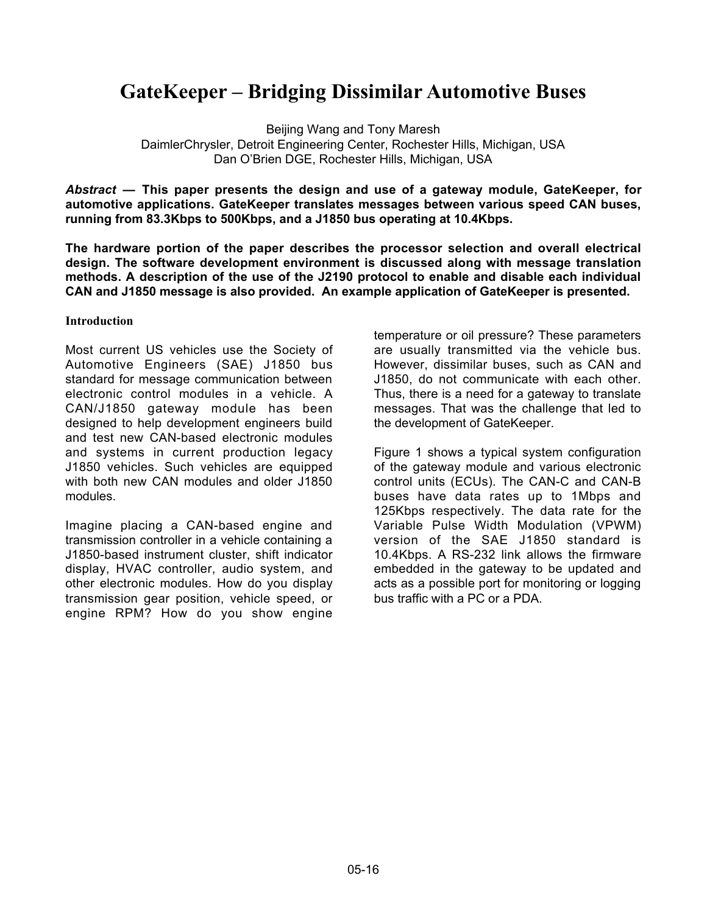# **GateKeeper – Bridging Dissimilar Automotive Buses**

Beijing Wang and Tony Maresh DaimlerChrysler, Detroit Engineering Center, Rochester Hills, Michigan, USA Dan O'Brien DGE, Rochester Hills, Michigan, USA

*Abstract* **— This paper presents the design and use of a gateway module, GateKeeper, for automotive applications. GateKeeper translates messages between various speed CAN buses, running from 83.3Kbps to 500Kbps, and a J1850 bus operating at 10.4Kbps.**

**The hardware portion of the paper describes the processor selection and overall electrical design. The software development environment is discussed along with message translation methods. A description of the use of the J2190 protocol to enable and disable each individual CAN and J1850 message is also provided. An example application of GateKeeper is presented.**

### **Introduction**

Most current US vehicles use the Society of Automotive Engineers (SAE) J1850 bus standard for message communication between electronic control modules in a vehicle. A CAN/J1850 gateway module has been designed to help development engineers build and test new CAN-based electronic modules and systems in current production legacy J1850 vehicles. Such vehicles are equipped with both new CAN modules and older J1850 modules.

Imagine placing a CAN-based engine and transmission controller in a vehicle containing a J1850-based instrument cluster, shift indicator display, HVAC controller, audio system, and other electronic modules. How do you display transmission gear position, vehicle speed, or engine RPM? How do you show engine

temperature or oil pressure? These parameters are usually transmitted via the vehicle bus. However, dissimilar buses, such as CAN and J1850, do not communicate with each other. Thus, there is a need for a gateway to translate messages. That was the challenge that led to the development of GateKeeper.

Figure 1 shows a typical system configuration of the gateway module and various electronic control units (ECUs). The CAN-C and CAN-B buses have data rates up to 1Mbps and 125Kbps respectively. The data rate for the Variable Pulse Width Modulation (VPWM) version of the SAE J1850 standard is 10.4Kbps. A RS-232 link allows the firmware embedded in the gateway to be updated and acts as a possible port for monitoring or logging bus traffic with a PC or a PDA.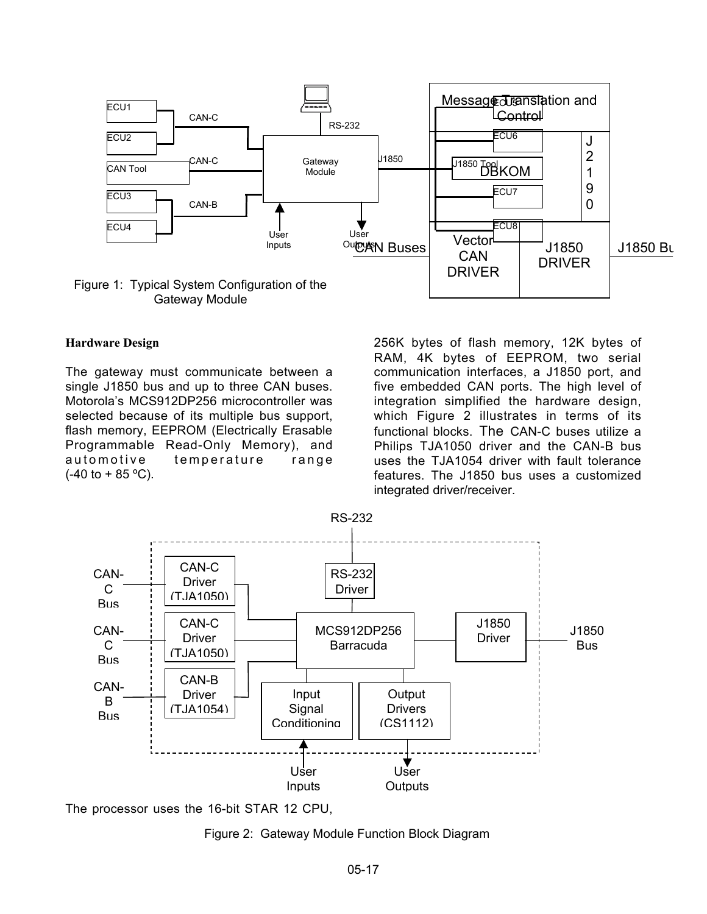

#### **Hardware Design**

The gateway must communicate between a single J1850 bus and up to three CAN buses. Motorola's MCS912DP256 microcontroller was selected because of its multiple bus support, flash memory, EEPROM (Electrically Erasable Programmable Read-Only Memory), and automotive temperature range  $(-40 \text{ to } + 85 \text{ °C})$ .

256K bytes of flash memory, 12K bytes of RAM, 4K bytes of EEPROM, two serial communication interfaces, a J1850 port, and five embedded CAN ports. The high level of integration simplified the hardware design, which Figure 2 illustrates in terms of its functional blocks. The CAN-C buses utilize a Philips TJA1050 driver and the CAN-B bus uses the TJA1054 driver with fault tolerance features. The J1850 bus uses a customized integrated driver/receiver.



The processor uses the 16-bit STAR 12 CPU,

Figure 2: Gateway Module Function Block Diagram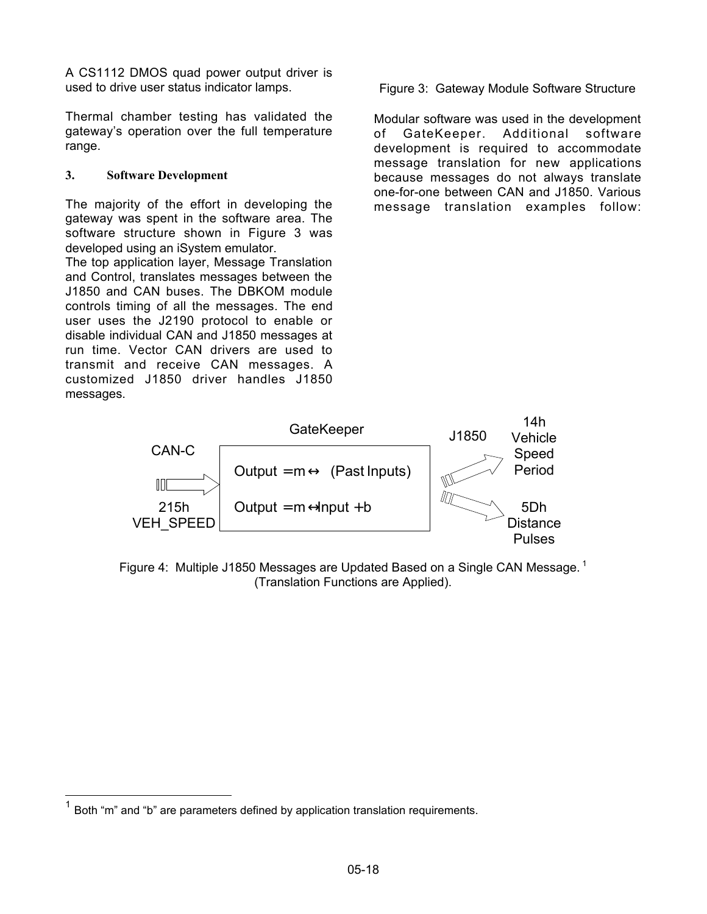A CS1112 DMOS quad power output driver is used to drive user status indicator lamps.

Thermal chamber testing has validated the gateway's operation over the full temperature range.

# **3. Software Development**

The majority of the effort in developing the gateway was spent in the software area. The software structure shown in Figure 3 was developed using an iSystem emulator.

The top application layer, Message Translation and Control, translates messages between the J1850 and CAN buses. The DBKOM module controls timing of all the messages. The end user uses the J2190 protocol to enable or disable individual CAN and J1850 messages at run time. Vector CAN drivers are used to transmit and receive CAN messages. A customized J1850 driver handles J1850 messages.

Figure 3: Gateway Module Software Structure

Modular software was used in the development of GateKeeper. Additional software development is required to accommodate message translation for new applications because messages do not always translate one-for-one between CAN and J1850. Various message translation examples follow:



Figure 4: Multiple J1850 Messages are Updated Based on a Single CAN Message.<sup>1</sup> (Translation Functions are Applied).

Both "m" and "b" are parameters defined by application translation requirements.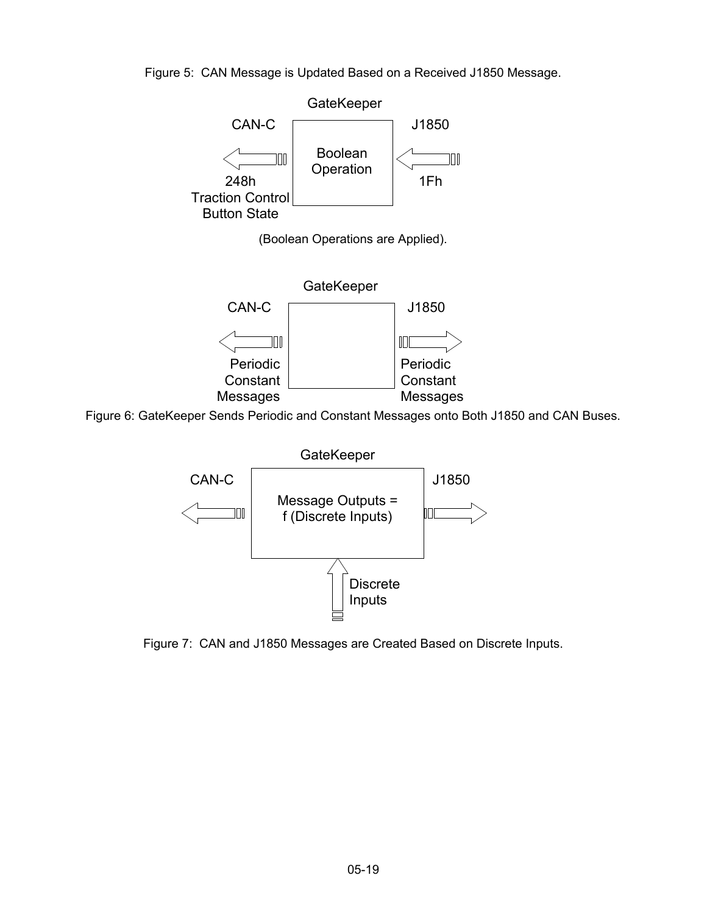Figure 5: CAN Message is Updated Based on a Received J1850 Message.



Figure 6: GateKeeper Sends Periodic and Constant Messages onto Both J1850 and CAN Buses.



Figure 7: CAN and J1850 Messages are Created Based on Discrete Inputs.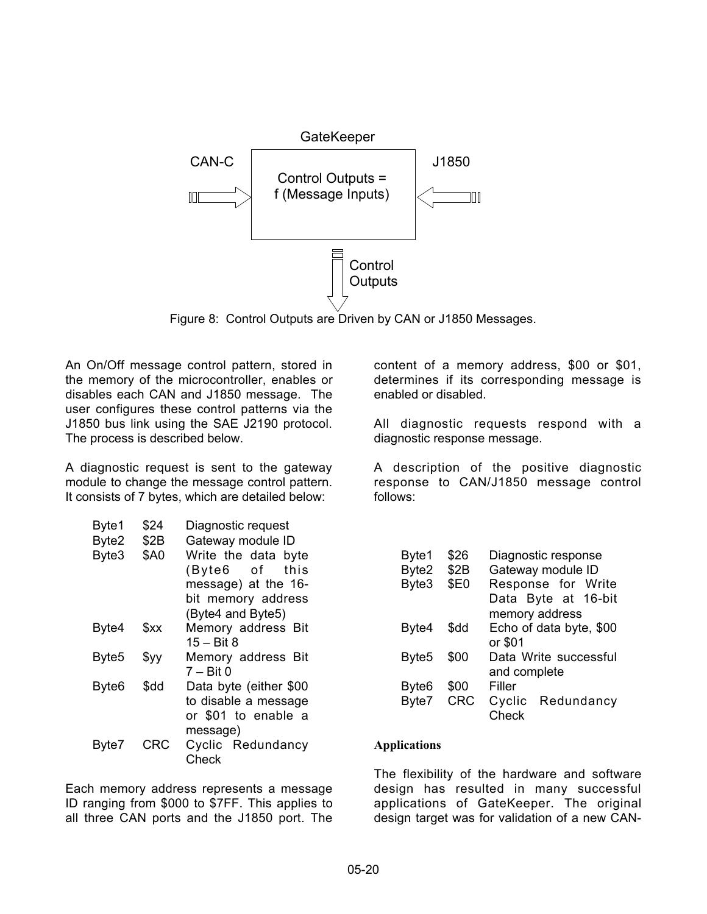

Figure 8: Control Outputs are Driven by CAN or J1850 Messages.

An On/Off message control pattern, stored in the memory of the microcontroller, enables or disables each CAN and J1850 message. The user configures these control patterns via the J1850 bus link using the SAE J2190 protocol. The process is described below.

A diagnostic request is sent to the gateway module to change the message control pattern. It consists of 7 bytes, which are detailed below:

| Byte1<br>Byte2    | \$24<br>\$2B | Diagnostic request<br>Gateway module ID |
|-------------------|--------------|-----------------------------------------|
| Byte3             | <b>\$A0</b>  | Write the data byte                     |
|                   |              | (Byte6 of<br>this                       |
|                   |              | message) at the 16-                     |
|                   |              | bit memory address                      |
|                   |              | (Byte4 and Byte5)                       |
| Byte4             | \$xx         | Memory address Bit                      |
|                   |              | 15 – Bit 8                              |
| Byte <sub>5</sub> | \$yy         | Memory address Bit                      |
|                   |              | $7 - Bit 0$                             |
| Byte <sub>6</sub> | \$dd         | Data byte (either \$00                  |
|                   |              | to disable a message                    |
|                   |              | or \$01 to enable a                     |
|                   |              | message)                                |
| Byte7             | CRC          | Cyclic Redundancy                       |
|                   |              | Check                                   |

Each memory address represents a message ID ranging from \$000 to \$7FF. This applies to all three CAN ports and the J1850 port. The content of a memory address, \$00 or \$01, determines if its corresponding message is enabled or disabled.

All diagnostic requests respond with a diagnostic response message.

A description of the positive diagnostic response to CAN/J1850 message control follows:

| Byte1 | \$26       | Diagnostic response     |
|-------|------------|-------------------------|
| Byte2 | \$2B       | Gateway module ID       |
| Byte3 | \$E0       | Response for Write      |
|       |            | Data Byte at 16-bit     |
|       |            | memory address          |
| Byte4 | \$dd       | Echo of data byte, \$00 |
|       |            | or \$01                 |
| Byte5 | \$00       | Data Write successful   |
|       |            | and complete            |
| Byte6 | \$00       | Filler                  |
| Byte7 | <b>CRC</b> | Cyclic Redundancy       |
|       |            | Check                   |

### **Applications**

The flexibility of the hardware and software design has resulted in many successful applications of GateKeeper. The original design target was for validation of a new CAN-